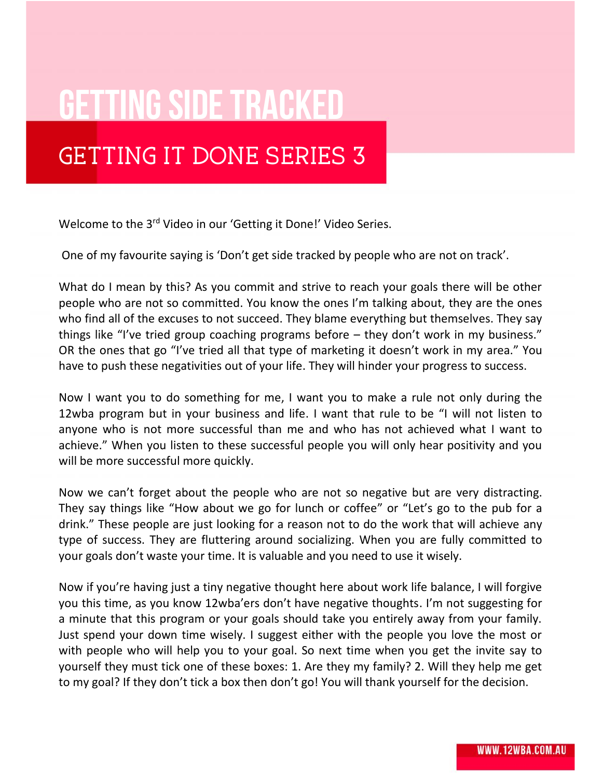## **GETTING SIDE TRACKED**

## GETTING IT DONE SERIES 3

Welcome to the 3<sup>rd</sup> Video in our 'Getting it Done!' Video Series.

One of my favourite saying is 'Don't get side tracked by people who are not on track'.

What do I mean by this? As you commit and strive to reach your goals there will be other people who are not so committed. You know the ones I'm talking about, they are the ones who find all of the excuses to not succeed. They blame everything but themselves. They say things like "I've tried group coaching programs before – they don't work in my business." OR the ones that go "I've tried all that type of marketing it doesn't work in my area." You have to push these negativities out of your life. They will hinder your progress to success.

Now I want you to do something for me, I want you to make a rule not only during the 12wba program but in your business and life. I want that rule to be "I will not listen to anyone who is not more successful than me and who has not achieved what I want to achieve." When you listen to these successful people you will only hear positivity and you will be more successful more quickly.

Now we can't forget about the people who are not so negative but are very distracting. They say things like "How about we go for lunch or coffee" or "Let's go to the pub for a drink." These people are just looking for a reason not to do the work that will achieve any type of success. They are fluttering around socializing. When you are fully committed to your goals don't waste your time. It is valuable and you need to use it wisely.

Now if you're having just a tiny negative thought here about work life balance, I will forgive you this time, as you know 12wba'ers don't have negative thoughts. I'm not suggesting for a minute that this program or your goals should take you entirely away from your family. Just spend your down time wisely. I suggest either with the people you love the most or with people who will help you to your goal. So next time when you get the invite say to yourself they must tick one of these boxes: 1. Are they my family? 2. Will they help me get to my goal? If they don't tick a box then don't go! You will thank yourself for the decision.